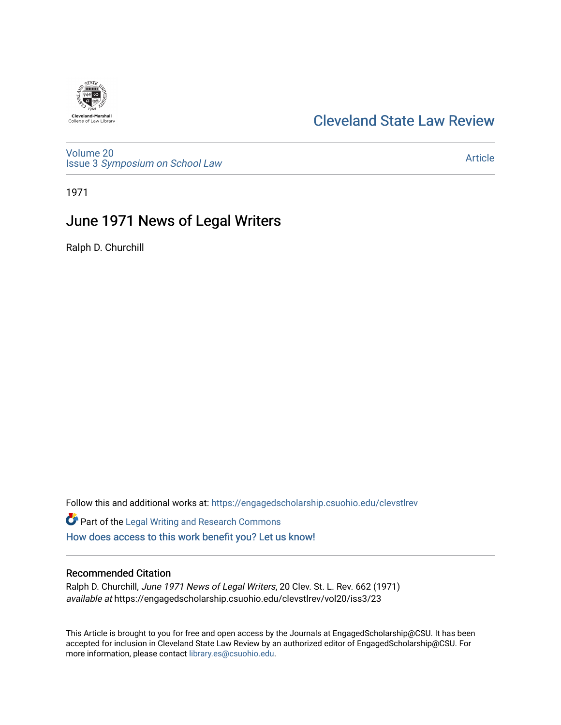# [Cleveland State Law Review](https://engagedscholarship.csuohio.edu/clevstlrev)

[Volume 20](https://engagedscholarship.csuohio.edu/clevstlrev/vol20) Issue 3 [Symposium on School Law](https://engagedscholarship.csuohio.edu/clevstlrev/vol20/iss3) 

[Article](https://engagedscholarship.csuohio.edu/clevstlrev/vol20/iss3/23) 

1971

# June 1971 News of Legal Writers

Ralph D. Churchill

Follow this and additional works at: [https://engagedscholarship.csuohio.edu/clevstlrev](https://engagedscholarship.csuohio.edu/clevstlrev?utm_source=engagedscholarship.csuohio.edu%2Fclevstlrev%2Fvol20%2Fiss3%2F23&utm_medium=PDF&utm_campaign=PDFCoverPages)

Part of the [Legal Writing and Research Commons](http://network.bepress.com/hgg/discipline/614?utm_source=engagedscholarship.csuohio.edu%2Fclevstlrev%2Fvol20%2Fiss3%2F23&utm_medium=PDF&utm_campaign=PDFCoverPages)  [How does access to this work benefit you? Let us know!](http://library.csuohio.edu/engaged/)

# Recommended Citation

Ralph D. Churchill, June 1971 News of Legal Writers, 20 Clev. St. L. Rev. 662 (1971) available at https://engagedscholarship.csuohio.edu/clevstlrev/vol20/iss3/23

This Article is brought to you for free and open access by the Journals at EngagedScholarship@CSU. It has been accepted for inclusion in Cleveland State Law Review by an authorized editor of EngagedScholarship@CSU. For more information, please contact [library.es@csuohio.edu](mailto:library.es@csuohio.edu).

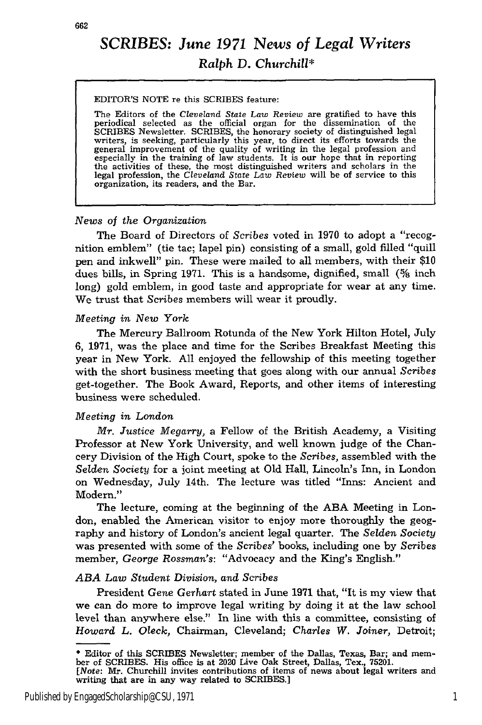662

# SCRIBES: *June 1971 News of Legal Writers Ralph* **D.** *Churchill\**

#### EDITOR'S NOTE re this SCRIBES feature:

The Editors of the *Cleveland State Law Review* are gratified to have this periodical selected as the official organ for the dissemination of the SCRIBES Newsletter. SCRIBES, the honorary society of distinguished legal writers, is seeking, particularly this year, to direct its efforts towards the general improvement of the quality of writing in the legal profession the activities of these, the most distinguished writers and scholars in the legal profession, the *Cleveland State Law Review* will be of service to this organization, its readers, and the Bar.

# *News of the Organization*

The Board of Directors of *Scribes* voted in 1970 to adopt a "recognition emblem" (tie tac; lapel pin) consisting of a small, gold filled "quill pen and inkwell" pin. These were mailed to all members, with their \$10 dues bills, in Spring 1971. This is a handsome, dignified, small *(%* inch long) gold emblem, in good taste and appropriate for wear at any time. We trust that *Scribes* members will wear it proudly.

# *Meeting in New York*

The Mercury Ballroom Rotunda of the New York Hilton Hotel, July 6, 1971, was the place and time for the Scribes Breakfast Meeting this year in New York. All enjoyed the fellowship of this meeting together with the short business meeting that goes along with our annual *Scribes* get-together. The Book Award, Reports, and other items of interesting business were scheduled.

# *Meeting in London*

*Mr. Justice Megarry,* a Fellow of the British Academy, a Visiting Professor at New York University, and well known judge of the Chancery Division of the High Court, spoke to the *Scribes,* assembled with the *Selden* Society for a joint meeting at Old Hall, Lincoln's Inn, in London on Wednesday, July 14th. The lecture was titled "Inns: Ancient and Modern."

The lecture, coming at the beginning of the ABA Meeting in London, enabled the American visitor to enjoy more thoroughly the geography and history of London's ancient legal quarter. The *Selden Society* was presented with some of the Scribes' books, including one by *Scribes* member, *George Rossman's:* "Advocacy and the King's English."

# *ABA Law Student Division, and Scribes*

President Gene *Gerhart* stated in June 1971 that, "It is my view that we can do more to improve legal writing by doing it at the law school level than anywhere else." In line with this a committee, consisting of *Howard L. Oleck,* Chairman, Cleveland; *Charles W. Joiner,* Detroit;

<sup>\*</sup> Editor of this SCRIBES Newsletter; member of the Dallas, Texas, Bar; and member of SCRIBES. His office is at 2020 Live Oak Street, Dallas, Tex., **75201.** *[Note:* Mr. Churchill invites contributions of items of news about legal writers and writing that are in any way related to SCRIBES.]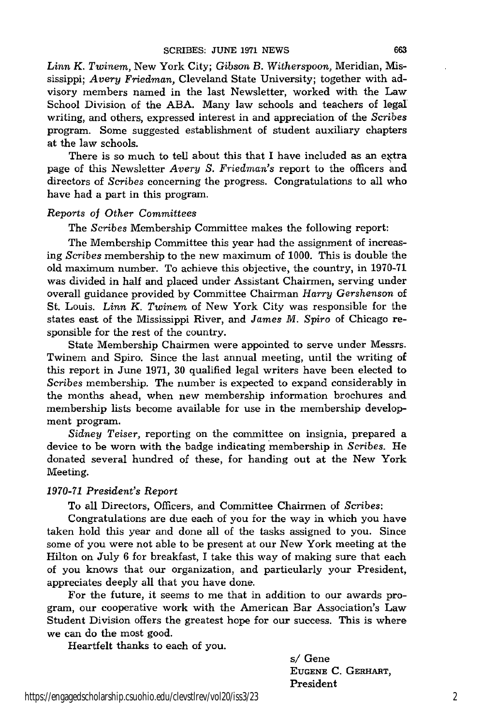*Linn K. Twinem,* New York City; *Gibson B. Witherspoon,* Meridian, Mississippi; *Avery Friedman,* Cleveland State University; together with advisory members named in the last Newsletter, worked with the Law School Division of the ABA. Many law schools and teachers of legal writing, and others, expressed interest in and appreciation of the *Scribes* program. Some suggested establishment of student auxiliary chapters at the law schools.

There is so much to tell about this that I have included as an extra page of this Newsletter *Avery S. Friedman's* report to the officers and directors of *Scribes* concerning the progress. Congratulations to all who have had a part in this program.

# *Reports* of *Other Committees*

The *Scribes* Membership Committee makes the following report:

The Membership Committee this year had the assignment of increasing *Scribes* membership to the new maximum of 1000. This is double the old maximum number. To achieve this objective, the country, in 1970-71 was divided in half and placed under Assistant Chairmen, serving under overall guidance provided by Committee Chairman *Harry Gershenson* of St. Louis. *Linn K. Twinem* of New York City was responsible for the states east of the Mississippi River, and *James M. Spiro* of Chicago responsible for the rest of the country.

State Membership Chairmen were appointed to serve under Messrs. Twinem and Spiro. Since the last annual meeting, until the writing of this report in June 1971, 30 qualified legal writers have been elected to Scribes membership. The number is expected to expand considerably in the months ahead, when new membership information brochures and membership lists become available for use in the membership development program.

*Sidney Teiser,* reporting on the committee on insignia, prepared a device to be worn with the badge indicating membership in *Scribes.* He donated several hundred of these, for handing out at the New York Meeting.

### *1970-71 President's* Report

To all Directors, Officers, and Committee Chairmen of *Scribes:*

Congratulations are due each of you for the way in which you have taken hold this year and done all of the tasks assigned to you. Since some of you were not able to be present at our New York meeting at the Hilton on July 6 for breakfast, I take this way of making sure that each of you knows that our organization, and particularly your President, appreciates deeply all that you have done.

For the future, it seems to me that in addition to our awards program, our cooperative work with the American Bar Association's Law Student Division offers the greatest hope for our success. This is where we can do the most good.

Heartfelt thanks to each of you.

*s/* Gene **EUGENE** C. GERHART, President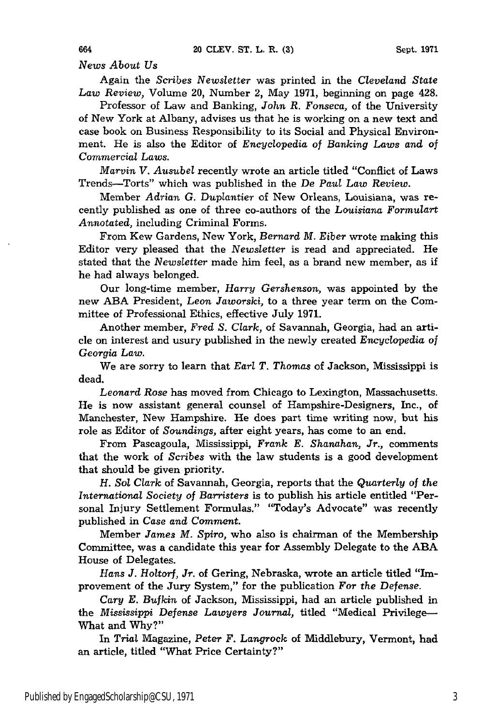*News About Us*

Again the *Scribes Newsletter* was printed in the *Cleveland State Law Review,* Volume 20, Number 2, May 1971, beginning on page 428.

Professor of Law and Banking, *John R. Fonseca,* of the University of New York at Albany, advises us that he is working on a new text and case book on Business Responsibility to its Social and Physical Environment. He is also the Editor of *Encyclopedia of Banking Laws and of Commercial Laws.*

*Marvin V. Ausubel* recently wrote an article titled "Conflict of Laws Trends-Torts" which was published in the De *Paul Law Review.*

Member *Adrian G. Duplantier* of New Orleans, Louisiana, was recently published as one of three co-authors of the *Louisiana Formulart Annotated,* including Criminal Forms.

From Kew Gardens, New York, *Bernard M. Eiber* wrote making this Editor very pleased that the *Newsletter* is read and appreciated. He stated that the *Newsletter* made him feel, as a brand new member, as if he had always belonged.

Our long-time member, *Harry Gershenson,* was appointed by the new ABA President, *Leon Jaworski,* to a three year term on the Committee of Professional Ethics, effective July 1971.

Another member, *Fred S. Clark,* of Savannah, Georgia, had an article on interest and usury published in the newly created Encyclopedia *of Georgia Law.*

We are sorry to learn that *Earl T. Thomas* of Jackson, Mississippi is dead.

*Leonard Rose* has moved from Chicago to Lexington, Massachusetts. He is now assistant general counsel of Hampshire-Designers, Inc., of Manchester, New Hampshire. He does part time writing now, but his role as Editor of *Soundings,* after eight years, has come to an end.

From Pascagoula, Mississippi, *Frank E. Shanahan, Jr.,* comments that the work of *Scribes* with the law students is a good development that should be given priority.

*H. Sol Clark* of Savannah, Georgia, reports that the *Quarterly of the International Society of Barristers* is to publish his article entitled "Personal Injury Settlement Formulas." "Today's Advocate" was recently published in *Case and Comment.*

Member *James M. Spiro,* who also is chairman of the Membership Committee, was a candidate this year for Assembly Delegate to the ABA House of Delegates.

*Hans J. Holtorf, Jr.* of Gering, Nebraska, wrote an article titled "Improvement of the Jury System," for the publication *For the Defense.*

*Cary E. Bufkin* of Jackson, Mississippi, had an article published in the *Mississippi Defense Lawyers Journal,* titled "Medical Privilege-What and Why?"

In *Trial* Magazine, *Peter F.* Langrock of Middlebury, Vermont, had an article, titled "What Price Certainty?"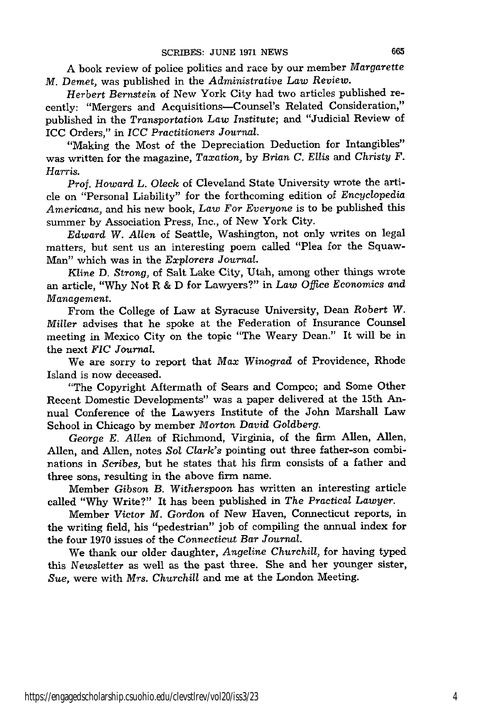A book review of police politics and race by our member *Margarette M. Demet,* was published in the *Administrative Law Review.*

*Herbert Bernstein* of New York City had two articles published recently: "Mergers and Acquisitions-Counsel's Related Consideration," published in the *Transportation Law Institute;* and "Judicial Review of ICC Orders," in *ICC Practitioners Journal.*

"Making the Most of the Depreciation Deduction for Intangibles" was written for the magazine, *Taxation,* by *Brian C. Ellis* and *Christy F. Harris.*

*Prof. Howard L. Oleck* of Cleveland State University wrote the article on "Personal Liability" for the forthcoming edition of *Encyclopedia Americana,* and his new book, *Law For Everyone* is to be published this summer by Association Press, Inc., of New York City.

*Edward W. Allen* of Seattle, Washington, not only writes on legal matters, but sent us an interesting poem called "Plea for the Squaw-Man" which was in the *Explorers Journal.*

*Kline* D. *Strong,* of Salt Lake City, Utah, among other things wrote an article, "Why Not R & D for Lawyers?" in *Law Office Economics and Management.*

From the College of Law at Syracuse University, Dean *Robert W. Miller* advises that he spoke at the Federation of Insurance Counsel meeting in Mexico City on the topic "The Weary Dean." It will be in the next *FIC Journal.*

We are sorry to report that *Max Winograd* of Providence, Rhode Island is now deceased.

"The Copyright Aftermath of Sears and Compco; and Some Other Recent Domestic Developments" was a paper delivered at the 15th Annual Conference of the Lawyers Institute of the John Marshall Law School in Chicago by member *Morton David Goldberg.*

*George E. Allen* of Richmond, Virginia, of the firm Allen, Allen, Allen, and Allen, notes *Sol Clark's* pointing out three father-son combinations in *Scribes,* but he states that his firm consists of a father and three sons, resulting in the above firm name.

Member *Gibson B. Witherspoon* has written an interesting article called "Why Write?" It has been published in *The Practical Lawyer.*

Member *Victor M. Gordon* of New Haven, Connecticut reports, in the writing field, his "pedestrian" job of compiling the annual index for the four 1970 issues of the *Connecticut Bar Journal.*

We thank our older daughter, *Angeline Churchill,* for having typed this Newsletter as well as the past three. She and her younger sister, *Sue,* were with *Mrs. Churchill* and me at the London Meeting.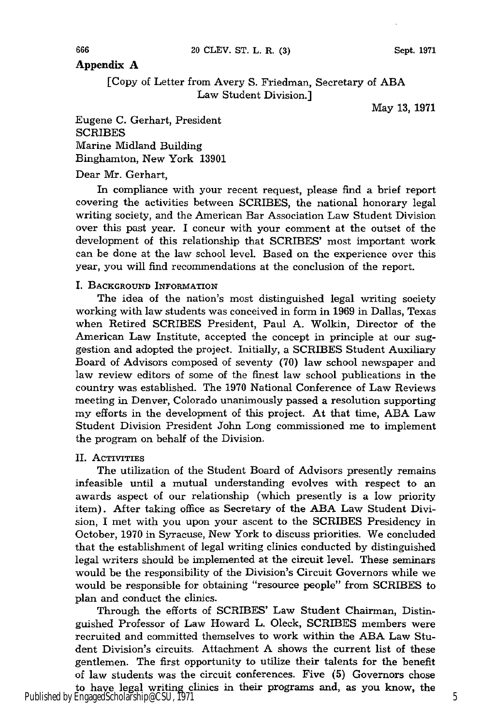# **Appendix A**

[Copy of Letter from Avery **S.** Friedman, Secretary of ABA Law Student Division.]

May 13, 1971

Eugene C. Gerhart, President **SCRIBES** Marine Midland Building Binghamton, New York 13901

Dear Mr. Gerhart,

In compliance with your recent request, please find a brief report covering the activities between SCRIBES, the national honorary legal writing society, and the American Bar Association Law Student Division over this past year. I concur with your comment at the outset of the development of this relationship that SCRIBES' most important work can be done at the law school level. Based on the experience over this year, you will find recommendations at the conclusion of the report.

### I. **BACKGROUND INFORMATION**

The idea of the nation's most distinguished legal writing society working with law students was conceived in form in 1969 in Dallas, Texas when Retired SCRIBES President, Paul A. Wolkin, Director of the American Law Institute, accepted the concept in principle at our suggestion and adopted the project. Initially, a SCRIBES Student Auxiliary Board of Advisors composed of seventy (70) law school newspaper and law review editors of some of the finest law school publications in the country was established. The 1970 National Conference of Law Reviews meeting in Denver, Colorado unanimously passed a resolution supporting my efforts in the development of this project. At that time, ABA Law Student Division President John Long commissioned me to implement the program on behalf of the Division.

### **II.** ACTIVITIES

The utilization of the Student Board of Advisors presently remains infeasible until a mutual understanding evolves with respect to an awards aspect of our relationship (which presently is a low priority item). After taking office as Secretary of the ABA Law Student Division, I met with you upon your ascent to the SCRIBES Presidency in October, 1970 in Syracuse, New York to discuss priorities. We concluded that the establishment of legal writing clinics conducted by distinguished legal writers should be implemented at the circuit level. These seminars would be the responsibility of the Division's Circuit Governors while we would be responsible for obtaining "resource people" from SCRIBES to plan and conduct the clinics.

Through the efforts of SCRIBES' Law Student Chairman, Distinguished Professor of Law Howard L. Oleck, SCRIBES members were recruited and committed themselves to work within the ABA Law Student Division's circuits. Attachment A shows the current list of these gentlemen. The first opportunity to utilize their talents for the benefit of law students was the circuit conferences. Five **(5)** Governors chose to have legal writing clinics in their programs and, as you know, the

Published by EngagedScholarship@CSU, 1971 5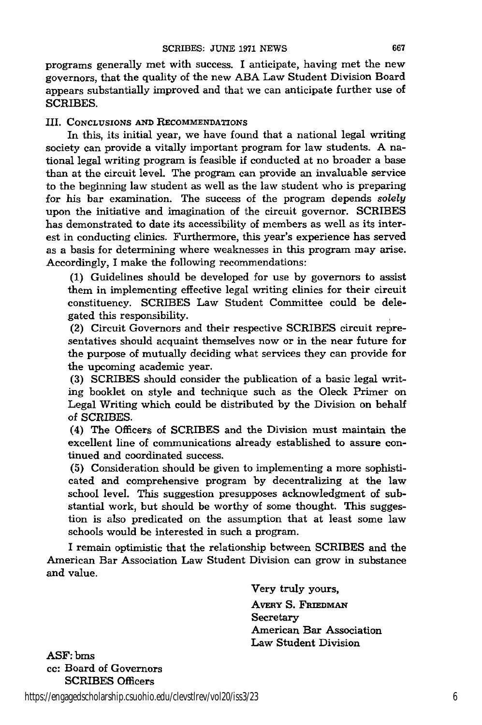programs generally met with success. I anticipate, having met the new governors, that the quality of the new **ABA** Law Student Division Board appears substantially improved and that we can anticipate further use of SCRIBES.

III. **CONCLUSIONS AND RECOMMENDATIONS**

In this, its initial year, we have found that a national legal writing society can provide a vitally important program for law students. A national legal writing program is feasible if conducted at no broader a base than at the circuit level. The program can provide an invaluable service to the beginning law student as well as the law student who is preparing for his bar examination. The success of the program depends *solely* upon the initiative and imagination of the circuit governor. SCRIBES has demonstrated to date its accessibility of members as well as its interest in conducting clinics. Furthermore, this year's experience has served as a basis for determining where weaknesses in this program may arise. Accordingly, I make the following recommendations:

**(1)** Guidelines should be developed for use **by** governors to assist them in implementing effective legal writing clinics for their circuit constituency. SCRIBES Law Student Committee could be delegated this responsibility.

(2) Circuit Governors and their respective SCRIBES circuit representatives should acquaint themselves now or in the near future for the purpose of mutually deciding what services they can provide for the upcoming academic year.

**(3)** SCRIBES should consider the publication of a basic legal writing booklet on style and technique such as the Oleck Primer on Legal Writing which could be distributed **by** the Division on behalf of SCRIBES.

(4) The Officers of SCRIBES and the Division must maintain the excellent line of communications already established to assure continued and coordinated success.

**(5)** Consideration should be given to implementing a more sophisticated and comprehensive program **by** decentralizing at the law school level. This suggestion presupposes acknowledgment of substantial work, but should be worthy of some thought. This suggestion is also predicated on the assumption that at least some law schools would be interested in such a program.

I remain optimistic that the relationship between SCRIBES and the American Bar Association Law Student Division can grow in substance and value.

> Very truly yours, **AVERY S. FRIEDMAN Secretary** American Bar Association Law Student Division

**ASF: bms** cc: Board of Governors SCRIBES Officers

https://engagedscholarship.csuohio.edu/clevstlrev/vol20/iss3/23 6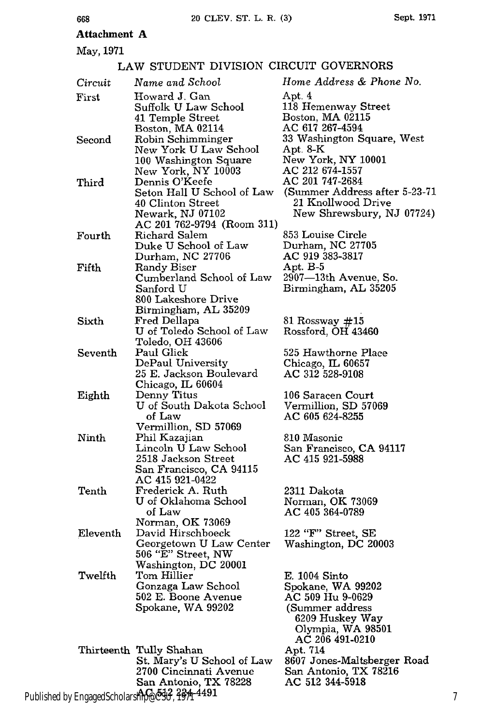# **Attachment A**

May, 1971

668

#### LAW STUDENT DIVISION CIRCUIT GOVERNORS *Circuit Name and School* First Howard J. Gan Suffolk U Law School 41 Temple Street Boston, MA 02114 Second Robin Schimminger New York U Law School 100 Washington Square New York, NY 10003 Third Dennis O'Keefe Seton Hall U School of Law 40 Clinton Street Newark, NJ 07102 AC 201 762-9794 (Room 311) Fourth Richard Salem Duke U School of Law Durham, NC 27706 Fifth Randy Biser Cumberland School of Law Sanford U 800 Lakeshore Drive Birmingham, AL 35209 Sixth Fred Dellapa U of Toledo School of Law Toledo, OH 43606 Seventh Paul Glick DePaul University 25 E. Jackson Boulevard Chicago, IL 60604 Eighth Denny Titus U of South Dakota School of Law Vermillion, SD 57069 Ninth Phil Kazajian Lincoln U Law School 2518 Jackson Street San Francisco, CA 94115 AC 415 921-0422 Tenth Frederick A. Ruth U of Oklahoma School of Law Norman, OK 73069 Eleventh David Hirschboeck Georgetown U Law Center 506 "E" Street, NW Washington, DC 20001 Twelfth Tom Hillier Gonzaga Law School 502 E. Boone Avenue Spokane, WA 99202 Thirteenth Tully Shahan St. Mary's U School of Law 2700 Cincinnati Avenue San Antonio, TX 78228 *Home Address & Phone No.* Apt. 4 118 Hemenway Street Boston, MA 02115 AC 617 267-4594 33 Washington Square, West Apt. 8-K New York, NY 10001 AC 212 674-1557 AC 201 747-2684 (Summer Address after 5-23-71 21 Knollwood Drive New Shrewsbury, NJ 07724) 853 Louise Circle Durham, NC 27705 AC 919 383-3817 Apt. B-5 2907-13th Avenue, So. Birmingham, AL 35205 81 Rossway **#15** Rossford, OH 43460 525 Hawthorne Place Chicago, IL 60657 AC 312 528-9108 106 Saracen Court Vermillion, SD 57069 AC 605 624-8255 810 Masonic San Francisco, CA 94117 AC 415 921-5988 2311 Dakota Norman, OK 73069 AC 405 364-0789 122 *"F"* Street, SE Washington, DC 20003 E. 1004 Sinto Spokane, WA 99202 AC 509 Hu 9-0629 (Summer address 6209 Huskey Way Olympia, WA 98501 AC 206 491-0210 Apt. 714 8607 Jones-Maltsberger Road San Antonio, TX 78216 AC **512** 344-5918

Published by EngagedScholarship@**CSU, 1971 4491**